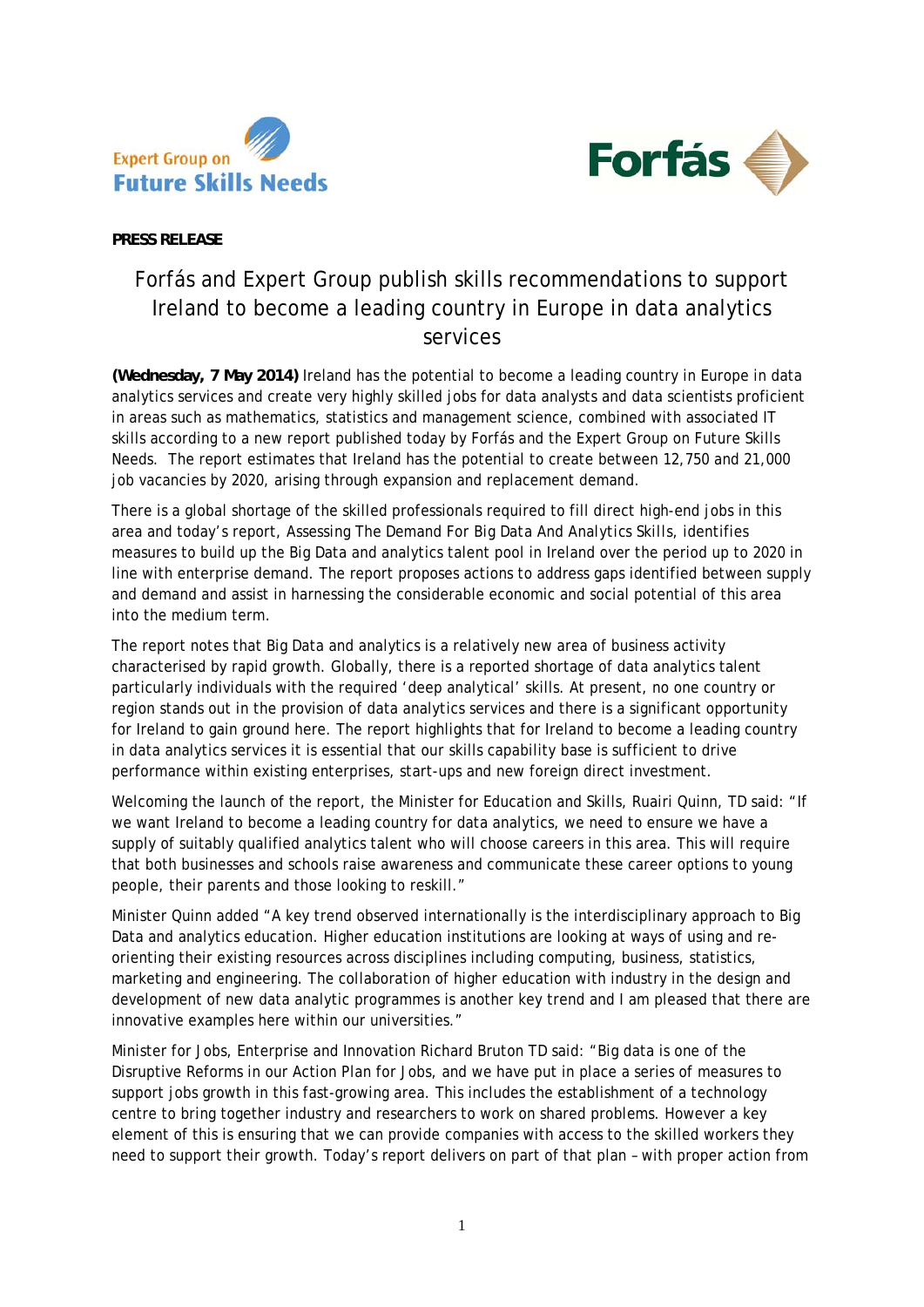



**PRESS RELEASE** 

## Forfás and Expert Group publish skills recommendations to support Ireland to become a leading country in Europe in data analytics services

**(Wednesday, 7 May 2014)** Ireland has the potential to become a leading country in Europe in data analytics services and create very highly skilled jobs for data analysts and data scientists proficient in areas such as mathematics, statistics and management science, combined with associated IT skills according to a new report published today by Forfás and the Expert Group on Future Skills Needs. The report estimates that Ireland has the potential to create between 12,750 and 21,000 job vacancies by 2020, arising through expansion and replacement demand.

There is a global shortage of the skilled professionals required to fill direct high-end jobs in this area and today's report, *Assessing The Demand For Big Data And Analytics Skills,* identifies measures to build up the Big Data and analytics talent pool in Ireland over the period up to 2020 in line with enterprise demand. The report proposes actions to address gaps identified between supply and demand and assist in harnessing the considerable economic and social potential of this area into the medium term.

The report notes that Big Data and analytics is a relatively new area of business activity characterised by rapid growth. Globally, there is a reported shortage of data analytics talent particularly individuals with the required 'deep analytical' skills. At present, no one country or region stands out in the provision of data analytics services and there is a significant opportunity for Ireland to gain ground here. The report highlights that for Ireland to become a leading country in data analytics services it is essential that our skills capability base is sufficient to drive performance within existing enterprises, start-ups and new foreign direct investment.

Welcoming the launch of the report, the Minister for Education and Skills, Ruairi Quinn, TD said: "If we want Ireland to become a leading country for data analytics, we need to ensure we have a supply of suitably qualified analytics talent who will choose careers in this area. This will require that both businesses and schools raise awareness and communicate these career options to young people, their parents and those looking to reskill."

Minister Quinn added "A key trend observed internationally is the interdisciplinary approach to Big Data and analytics education. Higher education institutions are looking at ways of using and reorienting their existing resources across disciplines including computing, business, statistics, marketing and engineering. The collaboration of higher education with industry in the design and development of new data analytic programmes is another key trend and I am pleased that there are innovative examples here within our universities."

Minister for Jobs, Enterprise and Innovation Richard Bruton TD said: "Big data is one of the Disruptive Reforms in our Action Plan for Jobs, and we have put in place a series of measures to support jobs growth in this fast-growing area. This includes the establishment of a technology centre to bring together industry and researchers to work on shared problems. However a key element of this is ensuring that we can provide companies with access to the skilled workers they need to support their growth. Today's report delivers on part of that plan – with proper action from